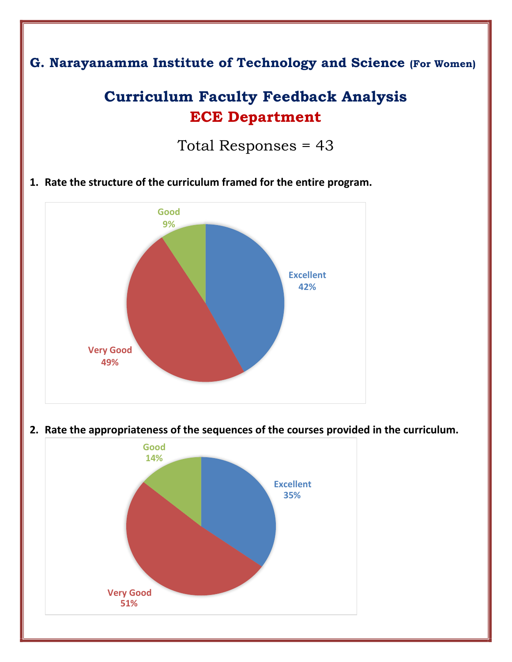

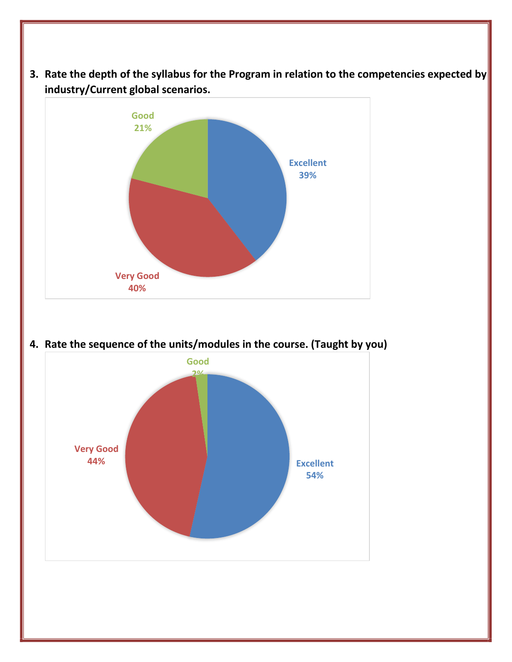**3. Rate the depth of the syllabus for the Program in relation to the competencies expected by industry/Current global scenarios.** 



**4. Rate the sequence of the units/modules in the course. (Taught by you)** 

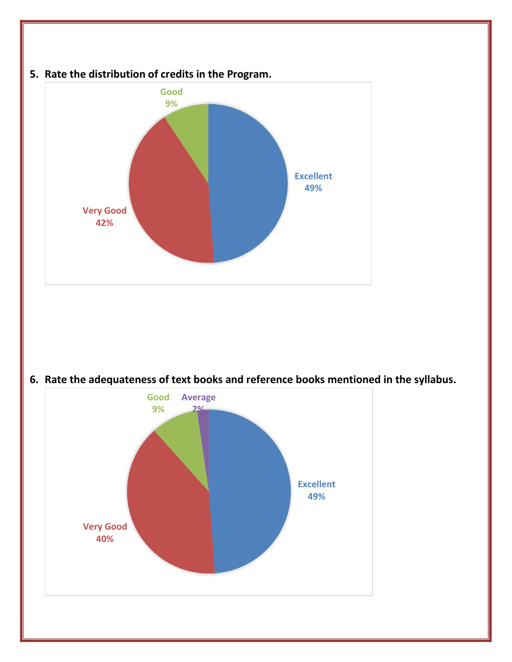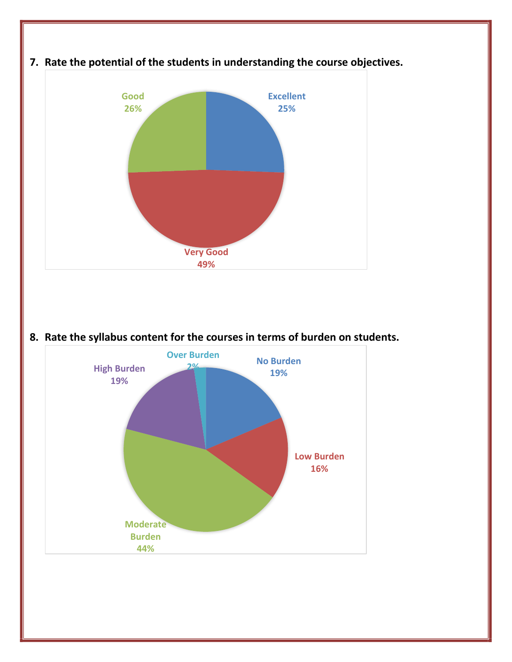

**8. Rate the syllabus content for the courses in terms of burden on students.** 

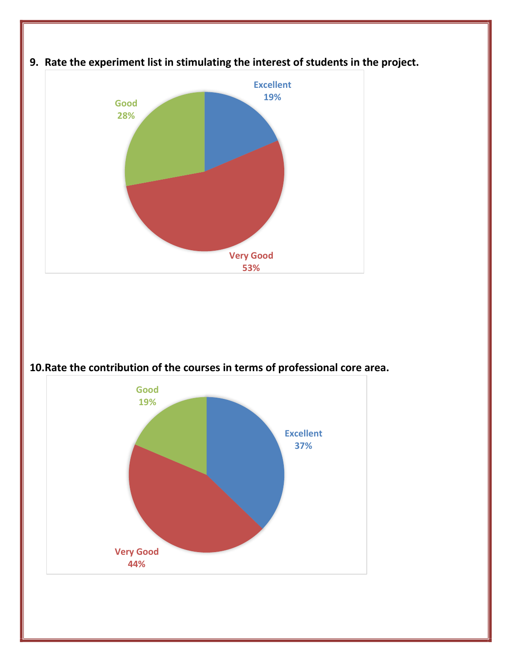